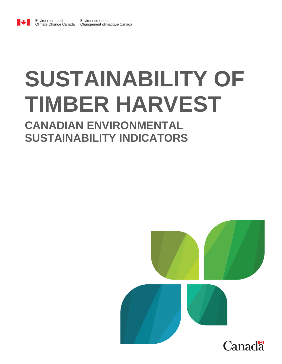

Environment and

# **SUSTAINABILITY OF TIMBER HARVEST**

# **CANADIAN ENVIRONMENTAL SUSTAINABILITY INDICATORS**

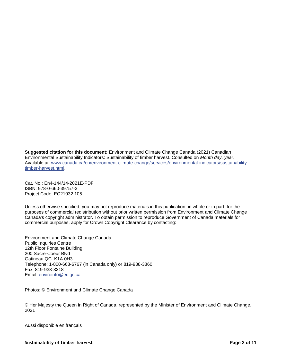**Suggested citation for this document:** Environment and Climate Change Canada (2021) Canadian Environmental Sustainability Indicators: Sustainability of timber harvest. Consulted on *Month day, year*. Available at: [www.canada.ca/en/environment-climate-change/services/environmental-indicators/sustainability](https://www.canada.ca/en/environment-climate-change/services/environmental-indicators/sustainability-timber-harvest.html)[timber-harvest.html.](https://www.canada.ca/en/environment-climate-change/services/environmental-indicators/sustainability-timber-harvest.html)

Cat. No.: En4-144/14-2021E-PDF ISBN: 978-0-660-39757-3 Project Code: EC21032.105

Unless otherwise specified, you may not reproduce materials in this publication, in whole or in part, for the purposes of commercial redistribution without prior written permission from Environment and Climate Change Canada's copyright administrator. To obtain permission to reproduce Government of Canada materials for commercial purposes, apply for Crown Copyright Clearance by contacting:

Environment and Climate Change Canada Public Inquiries Centre 12th Floor Fontaine Building 200 Sacré-Coeur Blvd Gatineau QC K1A 0H3 Telephone: 1-800-668-6767 (in Canada only) or 819-938-3860 Fax: 819-938-3318 Email: [enviroinfo@ec.gc.ca](mailto:enviroinfo@ec.gc.ca)

Photos: © Environment and Climate Change Canada

© Her Majesty the Queen in Right of Canada, represented by the Minister of Environment and Climate Change, 2021

Aussi disponible en français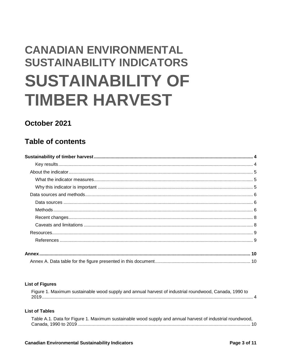# **CANADIAN ENVIRONMENTAL SUSTAINABILITY INDICATORS SUSTAINABILITY OF TIMBER HARVEST**

# October 2021

# **Table of contents**

| ي المستند المستند المستند المستند المستند المستند المستند المستند المستند المستند المستند المستند المستند المستند المستند المستند المستند المستند المستند المستند المستند المستند المستند المستند المستند المستند المستند المس |  |
|--------------------------------------------------------------------------------------------------------------------------------------------------------------------------------------------------------------------------------|--|
|                                                                                                                                                                                                                                |  |
|                                                                                                                                                                                                                                |  |
|                                                                                                                                                                                                                                |  |
|                                                                                                                                                                                                                                |  |
|                                                                                                                                                                                                                                |  |
|                                                                                                                                                                                                                                |  |
|                                                                                                                                                                                                                                |  |
|                                                                                                                                                                                                                                |  |
|                                                                                                                                                                                                                                |  |
|                                                                                                                                                                                                                                |  |
|                                                                                                                                                                                                                                |  |
|                                                                                                                                                                                                                                |  |

#### **List of Figures**

| Figure 1. Maximum sustainable wood supply and annual harvest of industrial roundwood, Canada, 1990 to |  |
|-------------------------------------------------------------------------------------------------------|--|
|                                                                                                       |  |

#### **List of Tables**

| Table A.1. Data for Figure 1. Maximum sustainable wood supply and annual harvest of industrial roundwood, |  |
|-----------------------------------------------------------------------------------------------------------|--|
|                                                                                                           |  |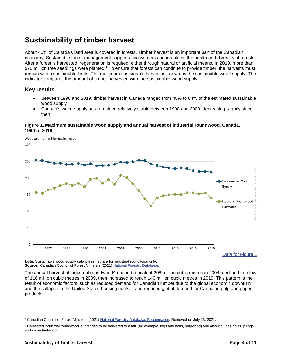# <span id="page-3-0"></span>**Sustainability of timber harvest**

About 40% of Canada's land area is covered in forests. Timber harvest is an important part of the Canadian economy. Sustainable forest management supports ecosystems and maintains the health and diversity of forests. After a forest is harvested, regeneration is required, either through natural or artificial means. In 2019, more than 570 million tree seedlings were planted.<sup>1</sup> To ensure that forests can continue to provide timber, the harvests must remain within sustainable limits. The maximum sustainable harvest is known as the sustainable wood supply. The indicator compares the amount of timber harvested with the sustainable wood supply.

#### <span id="page-3-1"></span>**Key results**

- Between 1990 and 2019, timber harvest in Canada ranged from 48% to 84% of the estimated sustainable wood supply
- Canada's wood supply has remained relatively stable between 1990 and 2009, decreasing slightly since then

#### <span id="page-3-2"></span>**Figure 1. Maximum sustainable wood supply and annual harvest of industrial roundwood, Canada, 1990 to 2019**



**Note:** Sustainable wood supply data presented are for industrial roundwood only. Source: Canadian Council of Forest Ministers (2021[\) National Forestry Database.](http://nfdp.ccfm.org/en/index.php)

The annual harvest of industrial roundwood<sup>2</sup> reached a peak of 208 million cubic metres in 2004, declined to a low of 116 million cubic metres in 2009, then increased to reach 140 million cubic metres in 2019. This pattern is the result of economic factors, such as reduced demand for Canadian lumber due to the global economic downturn and the collapse in the United States housing market, and reduced global demand for Canadian pulp and paper products.

l

<sup>1</sup> Canadian Council of Forest Ministers (2021[\) National Forestry Database, Regeneration.](http://nfdp.ccfm.org/en/data/regeneration.php) Retrieved on July 13, 2021.

<sup>&</sup>lt;sup>2</sup> Harvested industrial roundwood is intended to be delivered to a mill (for example, logs and bolts, pulpwood) and also includes poles, pilings and some fuelwood.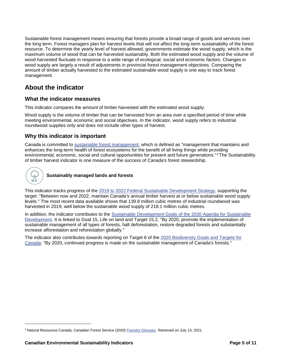Sustainable forest management means ensuring that forests provide a broad range of goods and services over the long term. Forest managers plan for harvest levels that will not affect the long-term sustainability of the forest resource. To determine the yearly level of harvest allowed, governments estimate the wood supply, which is the maximum volume of wood that can be harvested sustainably. Both the estimated wood supply and the volume of wood harvested fluctuate in response to a wide range of ecological, social and economic factors. Changes in wood supply are largely a result of adjustments in provincial forest management objectives. Comparing the amount of timber actually harvested to the estimated sustainable wood supply is one way to track forest management.

# <span id="page-4-0"></span>**About the indicator**

#### <span id="page-4-1"></span>**What the indicator measures**

This indicator compares the amount of timber harvested with the estimated wood supply.

Wood supply is the volume of timber that can be harvested from an area over a specified period of time while meeting environmental, economic and social objectives. In the indicator, wood supply refers to industrial roundwood supplies only and does not include other types of harvest.

#### <span id="page-4-2"></span>**Why this indicator is important**

Canada is committed to [sustainable forest management,](https://www.nrcan.gc.ca/our-natural-resources/forests-forestry/sustainable-forest-management/13183) which is defined as "management that maintains and enhances the long-term health of forest ecosystems for the benefit of all living things while providing environmental, economic, social and cultural opportunities for present and future generations."<sup>3</sup> The Sustainability of timber harvest indicator is one measure of the success of Canada's forest stewardship.



l

**Sustainably managed lands and forests**

This indicator tracks progress of the 2019 to 2022 [Federal Sustainable Development Strategy,](https://www.canada.ca/en/services/environment/conservation/sustainability/federal-sustainable-development-strategy.html) supporting the target: "Between now and 2022, maintain Canada's annual timber harvest at or below sustainable wood supply levels." The most recent data available shows that 139.8 million cubic metres of industrial roundwood was harvested in 2019, well below the sustainable wood supply of 218.1 million cubic metres.

In addition, the indicator contributes to the [Sustainable Development Goals of the 2030](https://www.un.org/sustainabledevelopment/) Agenda for Sustainable [Development.](https://www.un.org/sustainabledevelopment/) It is linked to Goal 15, Life on land and Target 15.2, "By 2020, promote the implementation of sustainable management of all types of forests, halt deforestation, restore degraded forests and substantially increase afforestation and reforestation globally."

The indicator also contributes towards reporting on Target 6 of the 2020 [Biodiversity Goals and Targets for](https://biodivcanada.chm-cbd.net/2020-biodiversity-goals-and-targets-canada?lang=Fr&n=9B5793F6-1)  [Canada:](https://biodivcanada.chm-cbd.net/2020-biodiversity-goals-and-targets-canada?lang=Fr&n=9B5793F6-1) "By 2020, continued progress is made on the sustainable management of Canada's forests."

<sup>3</sup> Natural Resources Canada, Canadian Forest Service (2020) Forestry [Glossary.](https://cfs.nrcan.gc.ca/terms/read/1154) Retrieved on July 13, 2021.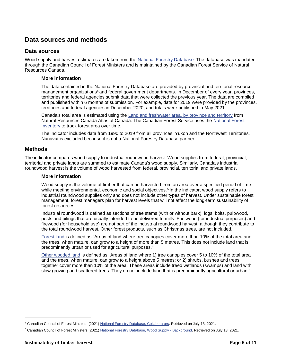## <span id="page-5-0"></span>**Data sources and methods**

#### <span id="page-5-1"></span>**Data sources**

Wood supply and harvest estimates are taken from the [National Forestry Database.](http://nfdp.ccfm.org/en/index.php) The database was mandated through the Canadian Council of Forest Ministers and is maintained by the Canadian Forest Service of Natural Resources Canada.

#### **More information**

The data contained in the National Forestry Database are provided by provincial and territorial resource management organizations<sup>4</sup> and federal government departments. In December of every year, provinces, territories and federal agencies submit data that were collected the previous year. The data are compiled and published within 6 months of submission. For example, data for 2019 were provided by the provinces, territories and federal agencies in December 2020, and totals were published in May 2021.

Canada's total area is estimated using the [Land and freshwater area, by province and territory](https://www150.statcan.gc.ca/n1/pub/11-402-x/2010000/chap/geo/tbl/tbl07-eng.htm) from Natural Resources Canada Atlas of Canada. The Canadian Forest Service uses the [National Forest](https://nfi.nfis.org/en)  [Inventory](https://nfi.nfis.org/en) to track forest area over time.

The indicator includes data from 1990 to 2019 from all provinces, Yukon and the Northwest Territories. Nunavut is excluded because it is not a National Forestry Database partner.

#### <span id="page-5-2"></span>**Methods**

The indicator compares wood supply to industrial roundwood harvest. Wood supplies from federal, provincial, territorial and private lands are summed to estimate Canada's wood supply. Similarly, Canada's industrial roundwood harvest is the volume of wood harvested from federal, provincial, territorial and private lands.

#### **More information**

Wood supply is the volume of timber that can be harvested from an area over a specified period of time while meeting environmental, economic and social objectives.<sup>5</sup> In the indicator, wood supply refers to industrial roundwood supplies only and does not include other types of harvest. Under sustainable forest management, forest managers plan for harvest levels that will not affect the long-term sustainability of forest resources.

Industrial roundwood is defined as sections of tree stems (with or without bark), logs, bolts, pulpwood, posts and pilings that are usually intended to be delivered to mills. Fuelwood (for industrial purposes) and firewood (for household use) are not part of the industrial roundwood harvest, although they contribute to the total roundwood harvest. Other forest products, such as Christmas trees, are not included.

[Forest land](http://nfdp.ccfm.org/en/glossary.php) is defined as "Areas of land where tree canopies cover more than 10% of the total area and the trees, when mature, can grow to a height of more than 5 metres. This does not include land that is predominantly urban or used for agricultural purposes."

[Other wooded land](http://nfdp.ccfm.org/en/glossary.php) is defined as "Areas of land where 1) tree canopies cover 5 to 10% of the total area and the trees, when mature, can grow to a height above 5 metres; or 2) shrubs, bushes and trees together cover more than 10% of the area. These areas include treed wetlands (swamps) and land with slow-growing and scattered trees. They do not include land that is predominantly agricultural or urban."

l

<sup>4</sup> Canadian Council of Forest Ministers (2021[\) National Forestry Database, Collaborators.](http://nfdp.ccfm.org/en/collaborators.php) Retrieved on July 13, 2021.

<sup>5</sup> Canadian Council of Forest Ministers (2021[\) National Forestry Database, Wood Supply -](http://nfdp.ccfm.org/en/data/woodsupply.php) Background. Retrieved on July 13, 2021.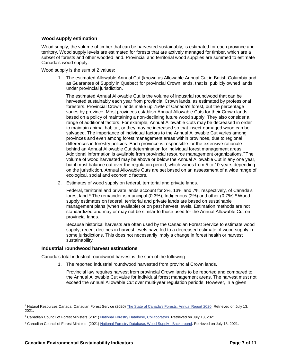#### **Wood supply estimation**

Wood supply, the volume of timber that can be harvested sustainably, is estimated for each province and territory. Wood supply levels are estimated for forests that are actively managed for timber, which are a subset of forests and other wooded land. Provincial and territorial wood supplies are summed to estimate Canada's wood supply.

Wood supply is the sum of 2 values:

1. The estimated Allowable Annual Cut (known as Allowable Annual Cut in British Columbia and as Guarantee of Supply in Quebec) for provincial Crown lands, that is, publicly owned lands under provincial jurisdiction.

The estimated Annual Allowable Cut is the volume of industrial roundwood that can be harvested sustainably each year from provincial Crown lands, as estimated by professional foresters. Provincial Crown lands make up 75%<sup>6</sup> of Canada's forest, but the percentage varies by province. Most provinces establish Annual Allowable Cuts for their Crown lands based on a policy of maintaining a non-declining future wood supply. They also consider a range of additional factors. For example, Annual Allowable Cuts may be decreased in order to maintain animal habitat, or they may be increased so that insect-damaged wood can be salvaged. The importance of individual factors to the Annual Allowable Cut varies among provinces and even among forest management areas within provinces, due to regional differences in forestry policies. Each province is responsible for the extensive rationale behind an Annual Allowable Cut determination for individual forest management areas. Additional information is available from provincial resource management organizations.<sup>7</sup> The volume of wood harvested may be above or below the Annual Allowable Cut in any one year, but it must balance out over the regulation period, which varies from 5 to 10 years depending on the jurisdiction. Annual Allowable Cuts are set based on an assessment of a wide range of ecological, social and economic factors.

2. Estimates of wood supply on federal, territorial and private lands.

Federal, territorial and private lands account for 2%, 13% and 7%, respectively, of Canada's forest land. <sup>8</sup> The remainder is municipal (0.3%), Indigenous (2%) and other (0.7%).<sup>8</sup> Wood supply estimates on federal, territorial and private lands are based on sustainable management plans (when available) or on past harvest levels. Estimation methods are not standardized and may or may not be similar to those used for the Annual Allowable Cut on provincial lands.

Because historical harvests are often used by the Canadian Forest Service to estimate wood supply, recent declines in harvest levels have led to a decreased estimate of wood supply in some jurisdictions. This does not necessarily imply a change in forest health or harvest sustainability.

#### **Industrial roundwood harvest estimations**

Canada's total industrial roundwood harvest is the sum of the following:

1. The reported industrial roundwood harvested from provincial Crown lands.

Provincial law requires harvest from provincial Crown lands to be reported and compared to the Annual Allowable Cut value for individual forest management areas. The harvest must not exceed the Annual Allowable Cut over multi-year regulation periods. However, in a given

 $\overline{a}$ 

<sup>&</sup>lt;sup>6</sup> Natural Resources Canada, Canadian Forest Service (2020[\) The State of Canada's Forests. Annual Report 2020.](https://www.nrcan.gc.ca/our-natural-resources/forests-forestry/state-canadas-forests-report/16496) Retrieved on July 13, 2021.

<sup>7</sup> Canadian Council of Forest Ministers (2021[\) National Forestry Database, Collaborators.](http://nfdp.ccfm.org/en/collaborators.php) Retrieved on July 13, 2021.

<sup>&</sup>lt;sup>8</sup> Canadian Council of Forest Ministers (2021[\) National Forestry Database, Wood Supply -](http://nfdp.ccfm.org/en/data/woodsupply.php) Background. Retrieved on July 13, 2021.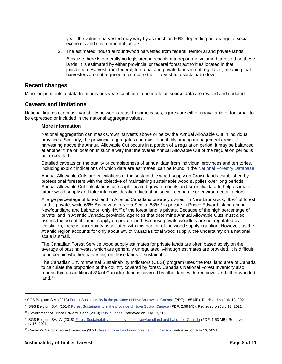year, the volume harvested may vary by as much as 50%, depending on a range of social, economic and environmental factors.

2. The estimated industrial roundwood harvested from federal, territorial and private lands.

Because there is generally no legislated mechanism to report the volume harvested on these lands, it is estimated by either provincial or federal forest authorities located in that jurisdiction. Harvest from federal, territorial and private lands is not regulated, meaning that harvesters are not required to compare their harvest to a sustainable level.

#### <span id="page-7-0"></span>**Recent changes**

Minor adjustments to data from previous years continue to be made as source data are revised and updated.

#### <span id="page-7-1"></span>**Caveats and limitations**

National figures can mask variability between areas. In some cases, figures are either unavailable or too small to be expressed or included in the national aggregate values.

#### **More information**

National aggregation can mask Crown harvests above or below the Annual Allowable Cut in individual provinces. Similarly, the provincial aggregates can mask variability among management areas. If harvesting above the Annual Allowable Cut occurs in a portion of a regulation period, it may be balanced at another time or location in such a way that the overall Annual Allowable Cut of the regulation period is not exceeded.

Detailed caveats on the quality or completeness of annual data from individual provinces and territories, including explicit indications of which data are estimates, can be found in the [National Forestry Database.](http://nfdp.ccfm.org/en/index.php)

Annual Allowable Cuts are calculations of the sustainable wood supply on Crown lands established by professional foresters with the objective of maintaining sustainable wood supplies over long periods. Annual Allowable Cut calculations use sophisticated growth models and scientific data to help estimate future wood supply and take into consideration fluctuating social, economic or environmental factors.

A large percentage of forest land in Atlantic Canada is privately owned. In New Brunswick, 48%<sup>9</sup> of forest land is private, while 66%<sup>10</sup> is private in Nova Scotia, 88%<sup>11</sup> is private in Prince Edward Island and in Newfoundland and Labrador, only 4%<sup>12</sup> of the forest land is private. Because of the high percentage of private land in Atlantic Canada, provincial agencies that determine Annual Allowable Cuts must also assess the potential timber supply on private land. Because private woodlots are not regulated by legislation, there is uncertainty associated with this portion of the wood supply equation. However, as the Atlantic region accounts for only about 8% of Canada's total wood supply, the uncertainty on a national scale is small.

The Canadian Forest Service wood supply estimates for private lands are often based solely on the average of past harvests, which are generally unregulated. Although estimates are provided, it is difficult to be certain whether harvesting on those lands is sustainable.

The Canadian Environmental Sustainability Indicators (CESI) program uses the total land area of Canada to calculate the proportion of the country covered by forest. Canada's National Forest Inventory also reports that an additional 8% of Canada's land is covered by other land with tree cover and other wooded  $land.<sup>13</sup>$ 

l

<sup>9</sup> SGS Belgium S.A. (2018) [Forest Sustainability in the province of New Brunswick, Canada](http://www.laborelec.com/wp-content/uploads/2020/03/SGS-Forest-sustainability-in-New-Brunswick-2018.pdf) (PDF; 1.85 MB). Retrieved on July 13, 2021.

<sup>10</sup> SGS Belgium S.A. (2014[\) Forest Sustainability in the province of Nova Scotia, Canada](http://www.laborelec.com/wp-content/uploads/2020/03/SGS-Forest_sustainability_in_Nova_Scotia-OCT2014.pdf) (PDF; 2.59 MB). Retrieved on July 13, 2021.

<sup>&</sup>lt;sup>11</sup> Government of Prince Edward Island (2019) [Public Lands.](https://www.princeedwardisland.ca/en/information/environment-water-and-climate-change/public-lands) Retrieved on July 13, 2021.

<sup>&</sup>lt;sup>12</sup> SGS Belgium SA/NV (2018[\) Forest Sustainability in the province of Newfoundland and Labrador, Canada](http://www.laborelec.com/wp-content/uploads/2020/03/SGS-Forest-sustainability-in-Newfoundland-and-Labrador-2018.pdf) (PDF; 1.53 MB). Retrieved on July 13, 2021.

<sup>&</sup>lt;sup>13</sup> Canada's National Forest Inventory (2021) [Area of forest and non-forest land in Canada.](https://nfi.nfis.org/resources/general/summaries/t1/en/CA/html/CA_T4_FOR_AREA_en.html) Retrieved on July 13, 2021.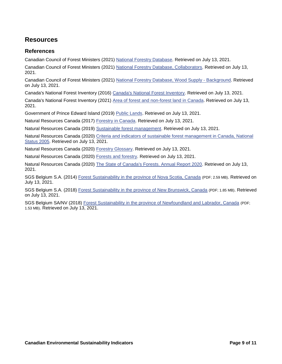# <span id="page-8-0"></span>**Resources**

#### <span id="page-8-1"></span>**References**

Canadian Council of Forest Ministers (2021) [National Forestry Database.](http://nfdp.ccfm.org/en/index.php) Retrieved on July 13, 2021.

Canadian Council of Forest Ministers (2021) [National Forestry Database, Collaborators.](http://nfdp.ccfm.org/en/collaborators.php) Retrieved on July 13, 2021.

Canadian Council of Forest Ministers (2021) [National Forestry Database, Wood Supply -](http://nfdp.ccfm.org/en/data/woodsupply.php) Background. Retrieved on July 13, 2021.

Canada's National Forest Inventory (2016) [Canada's National Forest Inventory.](https://nfi.nfis.org/en/) Retrieved on July 13, 2021.

Canada's National Forest Inventory (2021) [Area of forest and non-forest land in Canada.](https://nfi.nfis.org/resources/general/summaries/t1/en/CA/html/CA_T4_FOR_AREA_en.html) Retrieved on July 13, 2021.

Government of Prince Edward Island (2019) [Public Lands.](https://www.princeedwardisland.ca/en/information/environment-water-and-climate-change/public-lands) Retrieved on July 13, 2021.

Natural Resources Canada (2017) [Forestry in Canada.](https://www.nrcan.gc.ca/forests/canada/13161) Retrieved on July 13, 2021.

Natural Resources Canada (2019) [Sustainable forest management.](https://www.nrcan.gc.ca/our-natural-resources/forests-forestry/sustainable-forest-management/13183) Retrieved on July 13, 2021.

Natural Resources Canada (2020) [Criteria and indicators of sustainable forest management in Canada, National](https://cfs.nrcan.gc.ca/publications?id=26366)  [Status 2005.](https://cfs.nrcan.gc.ca/publications?id=26366) Retrieved on July 13, 2021.

Natural Resources Canada (2020) Forestry [Glossary.](https://cfs.nrcan.gc.ca/terms/read/1154) Retrieved on July 13, 2021.

Natural Resources Canada (2020) [Forests and forestry.](https://www.nrcan.gc.ca/our-natural-resources/forests/13497) Retrieved on July 13, 2021.

Natural Resources Canada (2020) [The State of Canada's Forests. Annual Report 2020.](https://cfs.nrcan.gc.ca/publications?id=40219&lang=en_CA) Retrieved on July 13, 2021.

SGS Belgium S.A. (2014) [Forest Sustainability in the province of Nova Scotia, Canada](http://www.laborelec.com/wp-content/uploads/2020/03/SGS-Forest_sustainability_in_Nova_Scotia-OCT2014.pdf) (PDF; 2.59 MB). Retrieved on July 13, 2021.

SGS Belgium S.A. (2018) [Forest Sustainability in the province of New Brunswick, Canada](http://www.laborelec.com/wp-content/uploads/2020/03/SGS-Forest-sustainability-in-New-Brunswick-2018.pdf) (PDF; 1.85 MB). Retrieved on July 13, 2021.

SGS Belgium SA/NV (2018) [Forest Sustainability in the province of Newfoundland and Labrador, Canada](http://www.laborelec.com/wp-content/uploads/2020/03/SGS-Forest-sustainability-in-Newfoundland-and-Labrador-2018.pdf) (PDF; 1.53 MB). Retrieved on July 13, 2021.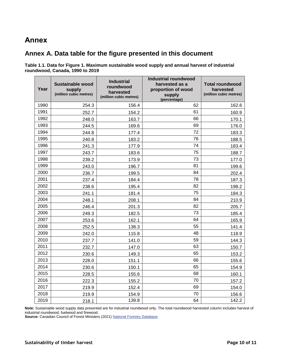# <span id="page-9-0"></span>**Annex**

### <span id="page-9-1"></span>**Annex A. Data table for the figure presented in this document**

<span id="page-9-2"></span>**Table 1.1. Data for [Figure 1. Maximum sustainable wood supply and annual harvest of industrial](#page-3-2)  [roundwood, Canada, 1990](#page-3-2) to 2019**

| Year | <b>Sustainable wood</b><br>supply<br>(million cubic metres) | <b>Industrial</b><br>roundwood<br>harvested<br>(million cubic metres) | <b>Industrial roundwood</b><br>harvested as a<br>proportion of wood<br>supply<br>(percentage) | <b>Total roundwood</b><br>harvested<br>(million cubic metres) |
|------|-------------------------------------------------------------|-----------------------------------------------------------------------|-----------------------------------------------------------------------------------------------|---------------------------------------------------------------|
| 1990 | 254.3                                                       | 156.4                                                                 | 62                                                                                            | 162.6                                                         |
| 1991 | 252.7                                                       | 154.2                                                                 | 61                                                                                            | 160.9                                                         |
| 1992 | 248.0                                                       | 163.7                                                                 | 66                                                                                            | 170.1                                                         |
| 1993 | 244.5                                                       | 169.6                                                                 | 69                                                                                            | 176.0                                                         |
| 1994 | 244.8                                                       | 177.4                                                                 | 72                                                                                            | 183.3                                                         |
| 1995 | 240.8                                                       | 183.2                                                                 | 76                                                                                            | 188.5                                                         |
| 1996 | 241.3                                                       | 177.9                                                                 | 74                                                                                            | 183.4                                                         |
| 1997 | 243.7                                                       | 183.6                                                                 | 75                                                                                            | 188.7                                                         |
| 1998 | 239.2                                                       | 173.9                                                                 | 73                                                                                            | 177.0                                                         |
| 1999 | 243.0                                                       | 196.7                                                                 | 81                                                                                            | 199.6                                                         |
| 2000 | 236.7                                                       | 199.5                                                                 | 84                                                                                            | 202.4                                                         |
| 2001 | 237.4                                                       | 184.4                                                                 | 78                                                                                            | 187.3                                                         |
| 2002 | 238.6                                                       | 195.4                                                                 | 82                                                                                            | 198.2                                                         |
| 2003 | 241.1                                                       | 181.4                                                                 | 75                                                                                            | 184.3                                                         |
| 2004 | 248.1                                                       | 208.1                                                                 | 84                                                                                            | 210.9                                                         |
| 2005 | 246.4                                                       | 201.3                                                                 | 82                                                                                            | 205.7                                                         |
| 2006 | 249.3                                                       | 182.5                                                                 | 73                                                                                            | 185.4                                                         |
| 2007 | 253.6                                                       | 162.1                                                                 | 64                                                                                            | 165.9                                                         |
| 2008 | 252.5                                                       | 138.3                                                                 | 55                                                                                            | 141.4                                                         |
| 2009 | 242.0                                                       | 115.8                                                                 | 48                                                                                            | 118.9                                                         |
| 2010 | 237.7                                                       | 141.0                                                                 | 59                                                                                            | 144.3                                                         |
| 2011 | 232.7                                                       | 147.0                                                                 | 63                                                                                            | 150.7                                                         |
| 2012 | 230.6                                                       | 149.3                                                                 | 65                                                                                            | 153.2                                                         |
| 2013 | 228.0                                                       | 151.1                                                                 | 66                                                                                            | 155.6                                                         |
| 2014 | 230.6                                                       | 150.1                                                                 | 65                                                                                            | 154.9                                                         |
| 2015 | 228.5                                                       | 155.6                                                                 | 68                                                                                            | 160.1                                                         |
| 2016 | 222.3                                                       | 155.2                                                                 | 70                                                                                            | 157.2                                                         |
| 2017 | 219.9                                                       | 152.4                                                                 | 69                                                                                            | 154.0                                                         |
| 2018 | 219.9                                                       | 154.9                                                                 | 70                                                                                            | 156.6                                                         |
| 2019 | 218.1                                                       | 139.8                                                                 | 64                                                                                            | 142.2                                                         |

**Note:** Sustainable wood supply data presented are for industrial roundwood only. The total roundwood harvested column includes harvest of industrial roundwood, fuelwood and firewood.

**Source:** Canadian Council of Forest Ministers (2021[\) National Forestry Database.](http://nfdp.ccfm.org/en/index.php)